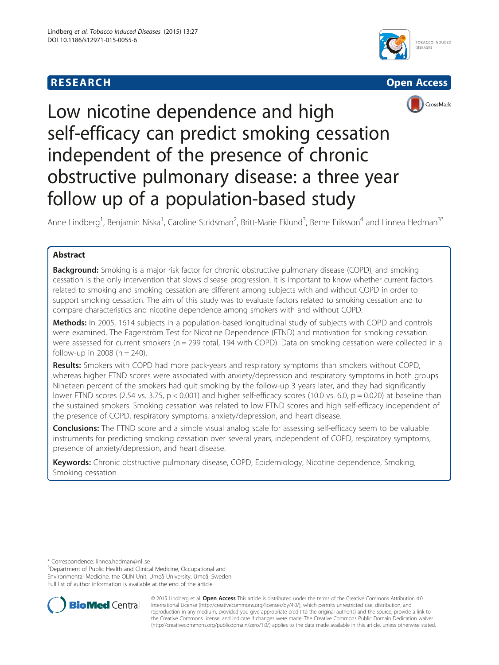# **RESEARCH CHEAR CHEAR CHEAR CHEAR CHEAR CHEAR CHEAR CHEAR CHEAR CHEAR CHEAR CHEAR CHEAR CHEAR CHEAR CHEAR CHEAR**







# Low nicotine dependence and high self-efficacy can predict smoking cessation independent of the presence of chronic obstructive pulmonary disease: a three year follow up of a population-based study

Anne Lindberg<sup>1</sup>, Benjamin Niska<sup>1</sup>, Caroline Stridsman<sup>2</sup>, Britt-Marie Eklund<sup>3</sup>, Berne Eriksson<sup>4</sup> and Linnea Hedman<sup>3\*</sup>

# Abstract

**Background:** Smoking is a major risk factor for chronic obstructive pulmonary disease (COPD), and smoking cessation is the only intervention that slows disease progression. It is important to know whether current factors related to smoking and smoking cessation are different among subjects with and without COPD in order to support smoking cessation. The aim of this study was to evaluate factors related to smoking cessation and to compare characteristics and nicotine dependence among smokers with and without COPD.

Methods: In 2005, 1614 subjects in a population-based longitudinal study of subjects with COPD and controls were examined. The Fagerström Test for Nicotine Dependence (FTND) and motivation for smoking cessation were assessed for current smokers (n = 299 total, 194 with COPD). Data on smoking cessation were collected in a follow-up in 2008 ( $n = 240$ ).

Results: Smokers with COPD had more pack-years and respiratory symptoms than smokers without COPD, whereas higher FTND scores were associated with anxiety/depression and respiratory symptoms in both groups. Nineteen percent of the smokers had quit smoking by the follow-up 3 years later, and they had significantly lower FTND scores (2.54 vs. 3.75,  $p < 0.001$ ) and higher self-efficacy scores (10.0 vs. 6.0,  $p = 0.020$ ) at baseline than the sustained smokers. Smoking cessation was related to low FTND scores and high self-efficacy independent of the presence of COPD, respiratory symptoms, anxiety/depression, and heart disease.

**Conclusions:** The FTND score and a simple visual analog scale for assessing self-efficacy seem to be valuable instruments for predicting smoking cessation over several years, independent of COPD, respiratory symptoms, presence of anxiety/depression, and heart disease.

Keywords: Chronic obstructive pulmonary disease, COPD, Epidemiology, Nicotine dependence, Smoking, Smoking cessation

\* Correspondence: [linnea.hedman@nll.se](mailto:linnea.hedman@nll.se) <sup>3</sup>

<sup>3</sup>Department of Public Health and Clinical Medicine, Occupational and Environmental Medicine, the OLIN Unit, Umeå University, Umeå, Sweden Full list of author information is available at the end of the article



© 2015 Lindberg et al. Open Access This article is distributed under the terms of the Creative Commons Attribution 4.0 International License [\(http://creativecommons.org/licenses/by/4.0/](http://creativecommons.org/licenses/by/4.0/)), which permits unrestricted use, distribution, and reproduction in any medium, provided you give appropriate credit to the original author(s) and the source, provide a link to the Creative Commons license, and indicate if changes were made. The Creative Commons Public Domain Dedication waiver [\(http://creativecommons.org/publicdomain/zero/1.0/](http://creativecommons.org/publicdomain/zero/1.0/)) applies to the data made available in this article, unless otherwise stated.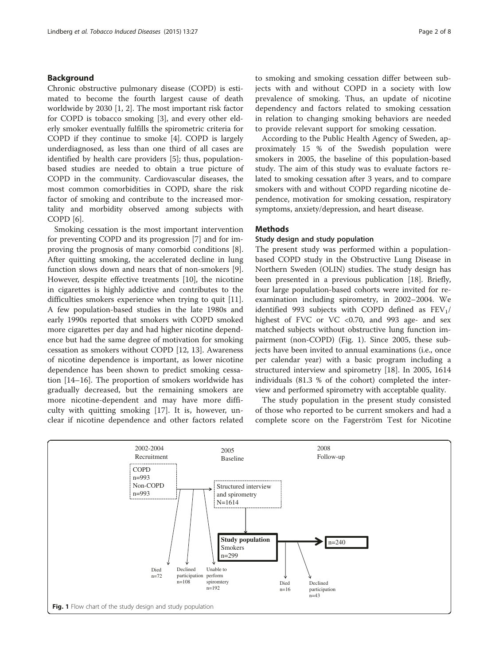## Background

Chronic obstructive pulmonary disease (COPD) is estimated to become the fourth largest cause of death worldwide by 2030 [\[1, 2\]](#page-6-0). The most important risk factor for COPD is tobacco smoking [[3\]](#page-6-0), and every other elderly smoker eventually fulfills the spirometric criteria for COPD if they continue to smoke [[4\]](#page-6-0). COPD is largely underdiagnosed, as less than one third of all cases are identified by health care providers [[5\]](#page-6-0); thus, populationbased studies are needed to obtain a true picture of COPD in the community. Cardiovascular diseases, the most common comorbidities in COPD, share the risk factor of smoking and contribute to the increased mortality and morbidity observed among subjects with COPD [[6\]](#page-6-0).

Smoking cessation is the most important intervention for preventing COPD and its progression [\[7](#page-6-0)] and for improving the prognosis of many comorbid conditions [\[8](#page-6-0)]. After quitting smoking, the accelerated decline in lung function slows down and nears that of non-smokers [\[9](#page-6-0)]. However, despite effective treatments [\[10\]](#page-6-0), the nicotine in cigarettes is highly addictive and contributes to the difficulties smokers experience when trying to quit [\[11](#page-6-0)]. A few population-based studies in the late 1980s and early 1990s reported that smokers with COPD smoked more cigarettes per day and had higher nicotine dependence but had the same degree of motivation for smoking cessation as smokers without COPD [\[12](#page-6-0), [13](#page-6-0)]. Awareness of nicotine dependence is important, as lower nicotine dependence has been shown to predict smoking cessation [[14](#page-6-0)–[16](#page-6-0)]. The proportion of smokers worldwide has gradually decreased, but the remaining smokers are more nicotine-dependent and may have more difficulty with quitting smoking [[17\]](#page-6-0). It is, however, unclear if nicotine dependence and other factors related to smoking and smoking cessation differ between subjects with and without COPD in a society with low prevalence of smoking. Thus, an update of nicotine dependency and factors related to smoking cessation in relation to changing smoking behaviors are needed to provide relevant support for smoking cessation.

According to the Public Health Agency of Sweden, approximately 15 % of the Swedish population were smokers in 2005, the baseline of this population-based study. The aim of this study was to evaluate factors related to smoking cessation after 3 years, and to compare smokers with and without COPD regarding nicotine dependence, motivation for smoking cessation, respiratory symptoms, anxiety/depression, and heart disease.

#### Methods

# Study design and study population

The present study was performed within a populationbased COPD study in the Obstructive Lung Disease in Northern Sweden (OLIN) studies. The study design has been presented in a previous publication [[18\]](#page-7-0). Briefly, four large population-based cohorts were invited for reexamination including spirometry, in 2002–2004. We identified 993 subjects with COPD defined as  $FEV<sub>1</sub>/$ highest of FVC or VC <0.70, and 993 age- and sex matched subjects without obstructive lung function impairment (non-COPD) (Fig. 1). Since 2005, these subjects have been invited to annual examinations (i.e., once per calendar year) with a basic program including a structured interview and spirometry [\[18\]](#page-7-0). In 2005, 1614 individuals (81.3 % of the cohort) completed the interview and performed spirometry with acceptable quality.

The study population in the present study consisted of those who reported to be current smokers and had a complete score on the Fagerström Test for Nicotine

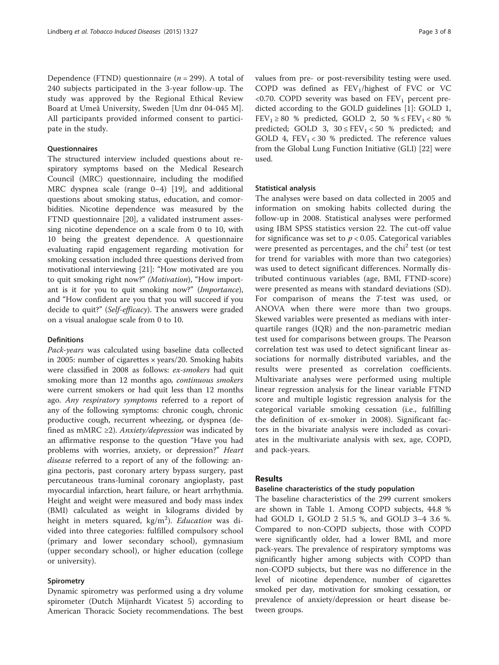Dependence (FTND) questionnaire ( $n = 299$ ). A total of 240 subjects participated in the 3-year follow-up. The study was approved by the Regional Ethical Review Board at Umeå University, Sweden [Um dnr 04-045 M]. All participants provided informed consent to participate in the study.

#### **Ouestionnaires**

The structured interview included questions about respiratory symptoms based on the Medical Research Council (MRC) questionnaire, including the modified MRC dyspnea scale (range 0–4) [\[19\]](#page-7-0), and additional questions about smoking status, education, and comorbidities. Nicotine dependence was measured by the FTND questionnaire [[20](#page-7-0)], a validated instrument assessing nicotine dependence on a scale from 0 to 10, with 10 being the greatest dependence. A questionnaire evaluating rapid engagement regarding motivation for smoking cessation included three questions derived from motivational interviewing [\[21\]](#page-7-0): "How motivated are you to quit smoking right now?" (Motivation), "How important is it for you to quit smoking now?" (Importance), and "How confident are you that you will succeed if you decide to quit?" (Self-efficacy). The answers were graded on a visual analogue scale from 0 to 10.

# Definitions

Pack-years was calculated using baseline data collected in 2005: number of cigarettes × years/20. Smoking habits were classified in 2008 as follows: ex-smokers had quit smoking more than 12 months ago, *continuous smokers* were current smokers or had quit less than 12 months ago. Any respiratory symptoms referred to a report of any of the following symptoms: chronic cough, chronic productive cough, recurrent wheezing, or dyspnea (defined as mMRC  $\geq$ 2). Anxiety/depression was indicated by an affirmative response to the question "Have you had problems with worries, anxiety, or depression?" Heart disease referred to a report of any of the following: angina pectoris, past coronary artery bypass surgery, past percutaneous trans-luminal coronary angioplasty, past myocardial infarction, heart failure, or heart arrhythmia. Height and weight were measured and body mass index (BMI) calculated as weight in kilograms divided by height in meters squared, kg/m<sup>2</sup>). *Education* was divided into three categories: fulfilled compulsory school (primary and lower secondary school), gymnasium (upper secondary school), or higher education (college or university).

#### Spirometry

Dynamic spirometry was performed using a dry volume spirometer (Dutch Mijnhardt Vicatest 5) according to American Thoracic Society recommendations. The best values from pre- or post-reversibility testing were used. COPD was defined as  $FEV<sub>1</sub>/highest$  of FVC or VC  $<$  0.70. COPD severity was based on FEV<sub>1</sub> percent predicted according to the GOLD guidelines [[1\]](#page-6-0): GOLD 1,  $\text{FEV}_1 \geq 80\,$  % predicted, GOLD 2, 50  $\% \leq \text{FEV}_1 < 80\,$  % predicted; GOLD 3,  $30 \leq FEV_1 < 50$  % predicted; and GOLD 4,  $FEV_1 < 30$  % predicted. The reference values from the Global Lung Function Initiative (GLI) [\[22](#page-7-0)] were used.

#### Statistical analysis

The analyses were based on data collected in 2005 and information on smoking habits collected during the follow-up in 2008. Statistical analyses were performed using IBM SPSS statistics version 22. The cut-off value for significance was set to  $p < 0.05$ . Categorical variables were presented as percentages, and the  $chi<sup>2</sup>$  test (or test for trend for variables with more than two categories) was used to detect significant differences. Normally distributed continuous variables (age, BMI, FTND-score) were presented as means with standard deviations (SD). For comparison of means the T-test was used, or ANOVA when there were more than two groups. Skewed variables were presented as medians with interquartile ranges (IQR) and the non-parametric median test used for comparisons between groups. The Pearson correlation test was used to detect significant linear associations for normally distributed variables, and the results were presented as correlation coefficients. Multivariate analyses were performed using multiple linear regression analysis for the linear variable FTND score and multiple logistic regression analysis for the categorical variable smoking cessation (i.e., fulfilling the definition of ex-smoker in 2008). Significant factors in the bivariate analysis were included as covariates in the multivariate analysis with sex, age, COPD, and pack-years.

#### Results

### Baseline characteristics of the study population

The baseline characteristics of the 299 current smokers are shown in Table [1](#page-3-0). Among COPD subjects, 44.8 % had GOLD 1, GOLD 2 51.5 %, and GOLD 3–4 3.6 %. Compared to non-COPD subjects, those with COPD were significantly older, had a lower BMI, and more pack-years. The prevalence of respiratory symptoms was significantly higher among subjects with COPD than non-COPD subjects, but there was no difference in the level of nicotine dependence, number of cigarettes smoked per day, motivation for smoking cessation, or prevalence of anxiety/depression or heart disease between groups.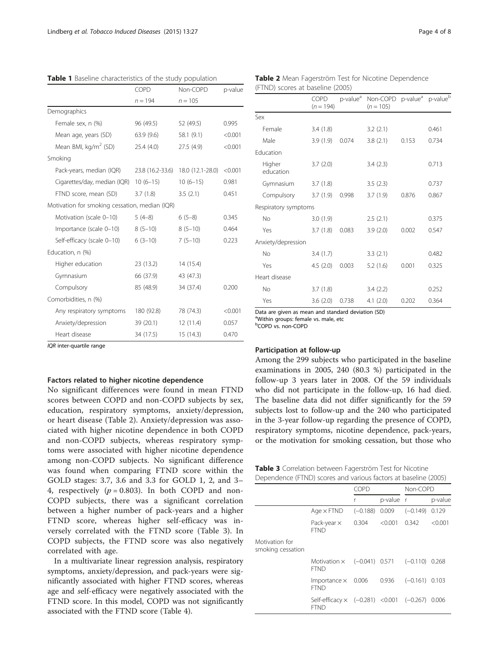|                                                | COPD             | Non-COPD         | p-value |
|------------------------------------------------|------------------|------------------|---------|
|                                                | $n = 194$        | $n = 105$        |         |
| Demographics                                   |                  |                  |         |
| Female sex, n (%)                              | 96 (49.5)        | 52 (49.5)        | 0.995   |
| Mean age, years (SD)                           | 63.9(9.6)        | 58.1 (9.1)       | < 0.001 |
| Mean BMI, kg/m <sup>2</sup> (SD)               | 25.4(4.0)        | 27.5(4.9)        | < 0.001 |
| Smoking                                        |                  |                  |         |
| Pack-years, median (IQR)                       | 23.8 (16.2-33.6) | 18.0 (12.1-28.0) | < 0.001 |
| Cigarettes/day, median (IQR)                   | $10(6-15)$       | $10(6-15)$       | 0.981   |
| FTND score, mean (SD)                          | 3.7(1.8)         | 3.5(2.1)         | 0.451   |
| Motivation for smoking cessation, median (IQR) |                  |                  |         |
| Motivation (scale 0-10)                        | $5(4-8)$         | $6(5-8)$         | 0.345   |
| Importance (scale 0-10)                        | $8(5-10)$        | $8(5-10)$        | 0.464   |
| Self-efficacy (scale 0-10)                     | $6(3-10)$        | $7(5-10)$        | 0.223   |
| Education, n (%)                               |                  |                  |         |
| Higher education                               | 23(13.2)         | 14 (15.4)        |         |
| Gymnasium                                      | 66 (37.9)        | 43 (47.3)        |         |
| Compulsory                                     | 85 (48.9)        | 34 (37.4)        | 0.200   |
| Comorbidities, n (%)                           |                  |                  |         |
| Any respiratory symptoms                       | 180 (92.8)       | 78 (74.3)        | < 0.001 |
| Anxiety/depression                             | 39 (20.1)        | 12(11.4)         | 0.057   |
| Heart disease                                  | 34 (17.5)        | 15(14.3)         | 0.470   |

<span id="page-3-0"></span>Table 1 Baseline characteristics of the study population

IQR inter-quartile range

#### Factors related to higher nicotine dependence

No significant differences were found in mean FTND scores between COPD and non-COPD subjects by sex, education, respiratory symptoms, anxiety/depression, or heart disease (Table 2). Anxiety/depression was associated with higher nicotine dependence in both COPD and non-COPD subjects, whereas respiratory symptoms were associated with higher nicotine dependence among non-COPD subjects. No significant difference was found when comparing FTND score within the GOLD stages: 3.7, 3.6 and 3.3 for GOLD 1, 2, and 3– 4, respectively  $(p = 0.803)$ . In both COPD and non-COPD subjects, there was a significant correlation between a higher number of pack-years and a higher FTND score, whereas higher self-efficacy was inversely correlated with the FTND score (Table 3). In COPD subjects, the FTND score was also negatively correlated with age.

In a multivariate linear regression analysis, respiratory symptoms, anxiety/depression, and pack-years were significantly associated with higher FTND scores, whereas age and self-efficacy were negatively associated with the FTND score. In this model, COPD was not significantly associated with the FTND score (Table [4](#page-4-0)).

Table 2 Mean Fagerström Test for Nicotine Dependence (FTND) scores at baseline (2005)

|                      | COPD<br>$(n = 194)$ |       | p-value <sup>a</sup> Non-COPD p-value <sup>a</sup> p-value <sup>b</sup><br>$(n = 105)$ |       |       |
|----------------------|---------------------|-------|----------------------------------------------------------------------------------------|-------|-------|
| Sex                  |                     |       |                                                                                        |       |       |
| Female               | 3.4(1.8)            |       | 3.2(2.1)                                                                               |       | 0.461 |
| Male                 | 3.9(1.9)            | 0.074 | 3.8(2.1)                                                                               | 0.153 | 0.734 |
| Education            |                     |       |                                                                                        |       |       |
| Higher<br>education  | 3.7(2.0)            |       | 3.4(2.3)                                                                               |       | 0.713 |
| Gymnasium 3.7 (1.8)  |                     |       | 3.5(2.3)                                                                               |       | 0.737 |
| Compulsory 3.7 (1.9) |                     | 0.998 | 3.7(1.9)                                                                               | 0.876 | 0.867 |
| Respiratory symptoms |                     |       |                                                                                        |       |       |
| No                   | 3.0(1.9)            |       | 2.5(2.1)                                                                               |       | 0.375 |
| Yes                  | 3.7(1.8)            | 0.083 | 3.9(2.0)                                                                               | 0.002 | 0.547 |
| Anxiety/depression   |                     |       |                                                                                        |       |       |
| No.                  | 3.4(1.7)            |       | 3.3(2.1)                                                                               |       | 0.482 |
| Yes                  | 4.5(2.0)            | 0.003 | 5.2(1.6)                                                                               | 0.001 | 0.325 |
| Heart disease        |                     |       |                                                                                        |       |       |
| <b>No</b>            | 3.7(1.8)            |       | 3.4(2.2)                                                                               |       | 0.252 |
| Yes                  | 3.6(2.0)            | 0.738 | 4.1(2.0)                                                                               | 0.202 | 0.364 |

Data are given as mean and standard deviation (SD)

<sup>a</sup>Within groups: female vs. male, etc

b COPD vs. non-COPD

#### Participation at follow-up

Among the 299 subjects who participated in the baseline examinations in 2005, 240 (80.3 %) participated in the follow-up 3 years later in 2008. Of the 59 individuals who did not participate in the follow-up, 16 had died. The baseline data did not differ significantly for the 59 subjects lost to follow-up and the 240 who participated in the 3-year follow-up regarding the presence of COPD, respiratory symptoms, nicotine dependence, pack-years, or the motivation for smoking cessation, but those who

| <b>Table 3</b> Correlation between Fagerström Test for Nicotine |
|-----------------------------------------------------------------|
| Dependence (FTND) scores and various factors at baseline (2005) |

|                                     |                                                                  | COPD             |           | Non-COPD         |         |
|-------------------------------------|------------------------------------------------------------------|------------------|-----------|------------------|---------|
|                                     |                                                                  | r                | p-value r |                  | p-value |
|                                     | Age $\times$ FTND                                                | $(-0.188)$ 0.009 |           | $(-0.149)$ 0.129 |         |
|                                     | Pack-year $\times$<br><b>FTND</b>                                | 0.304            | < 0.001   | 0.342            | < 0.001 |
| Motivation for<br>smoking cessation |                                                                  |                  |           |                  |         |
|                                     | Motivation $\times$ (-0.041) 0.571 (-0.110) 0.268<br><b>FTND</b> |                  |           |                  |         |
|                                     | Importance $\times$ 0.006<br><b>FTND</b>                         |                  | 0.936     | $(-0.161)$ 0.103 |         |
|                                     | Self-efficacy × (-0.281) <0.001 (-0.267) 0.006<br>FTND           |                  |           |                  |         |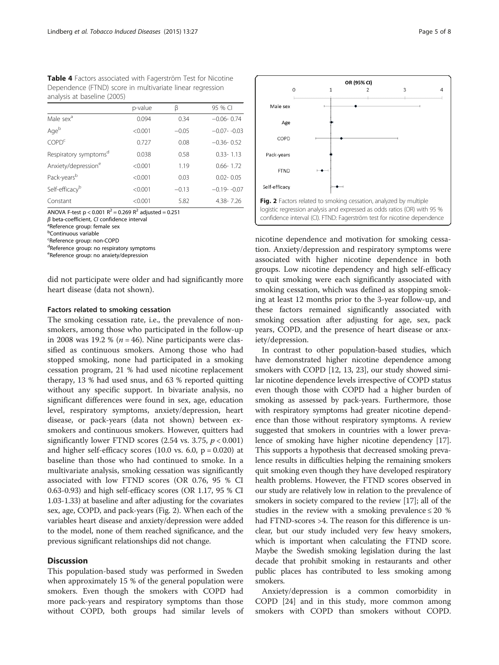<span id="page-4-0"></span>

|                                   | p-value |         | 95 % CI        |
|-----------------------------------|---------|---------|----------------|
| Male sex <sup>a</sup>             | 0.094   | 0.34    | $-0.06 - 0.74$ |
| Ageb                              | < 0.001 | $-0.05$ | $-0.07 - 0.03$ |
| COPD <sup>c</sup>                 | 0.727   | 0.08    | $-0.36 - 0.52$ |
| Respiratory symptoms <sup>d</sup> | 0.038   | 0.58    | $0.33 - 1.13$  |
| Anxiety/depression <sup>e</sup>   | < 0.001 | 1.19    | $0.66 - 1.72$  |
| Pack-years <sup>b</sup>           | < 0.001 | 0.03    | $0.02 - 0.05$  |
| Self-efficacy <sup>b</sup>        | < 0.001 | $-0.13$ | $-0.19 - 0.07$ |
| Constant                          | < 0.001 | 5.82    | 4.38-7.26      |

ANOVA F-test  $p < 0.001$  R<sup>2</sup> = 0.269 R<sup>2</sup> adjusted = 0.251

 $β$  beta-coefficient,  $Cl$  confidence interval

<sup>a</sup>Reference group: female sex

<sup>b</sup>Continuous variable

<sup>c</sup>Reference group: non-COPD

<sup>d</sup>Reference group: no respiratory symptoms

<sup>e</sup>Reference group: no anxiety/depression

did not participate were older and had significantly more heart disease (data not shown).

#### Factors related to smoking cessation

The smoking cessation rate, i.e., the prevalence of nonsmokers, among those who participated in the follow-up in 2008 was 19.2 % ( $n = 46$ ). Nine participants were classified as continuous smokers. Among those who had stopped smoking, none had participated in a smoking cessation program, 21 % had used nicotine replacement therapy, 13 % had used snus, and 63 % reported quitting without any specific support. In bivariate analysis, no significant differences were found in sex, age, education level, respiratory symptoms, anxiety/depression, heart disease, or pack-years (data not shown) between exsmokers and continuous smokers. However, quitters had significantly lower FTND scores  $(2.54 \text{ vs. } 3.75, p < 0.001)$ and higher self-efficacy scores  $(10.0 \text{ vs. } 6.0, \text{ p} = 0.020)$  at baseline than those who had continued to smoke. In a multivariate analysis, smoking cessation was significantly associated with low FTND scores (OR 0.76, 95 % CI 0.63-0.93) and high self-efficacy scores (OR 1.17, 95 % CI 1.03-1.33) at baseline and after adjusting for the covariates sex, age, COPD, and pack-years (Fig. 2). When each of the variables heart disease and anxiety/depression were added to the model, none of them reached significance, and the previous significant relationships did not change.

# **Discussion**

This population-based study was performed in Sweden when approximately 15 % of the general population were smokers. Even though the smokers with COPD had more pack-years and respiratory symptoms than those without COPD, both groups had similar levels of



nicotine dependence and motivation for smoking cessation. Anxiety/depression and respiratory symptoms were associated with higher nicotine dependence in both groups. Low nicotine dependency and high self-efficacy to quit smoking were each significantly associated with smoking cessation, which was defined as stopping smoking at least 12 months prior to the 3-year follow-up, and these factors remained significantly associated with smoking cessation after adjusting for age, sex, pack years, COPD, and the presence of heart disease or anxiety/depression.

In contrast to other population-based studies, which have demonstrated higher nicotine dependence among smokers with COPD [\[12, 13,](#page-6-0) [23\]](#page-7-0), our study showed similar nicotine dependence levels irrespective of COPD status even though those with COPD had a higher burden of smoking as assessed by pack-years. Furthermore, those with respiratory symptoms had greater nicotine dependence than those without respiratory symptoms. A review suggested that smokers in countries with a lower prevalence of smoking have higher nicotine dependency [[17](#page-6-0)]. This supports a hypothesis that decreased smoking prevalence results in difficulties helping the remaining smokers quit smoking even though they have developed respiratory health problems. However, the FTND scores observed in our study are relatively low in relation to the prevalence of smokers in society compared to the review [[17](#page-6-0)]; all of the studies in the review with a smoking prevalence  $\leq 20\%$ had FTND-scores >4. The reason for this difference is unclear, but our study included very few heavy smokers, which is important when calculating the FTND score. Maybe the Swedish smoking legislation during the last decade that prohibit smoking in restaurants and other public places has contributed to less smoking among smokers.

Anxiety/depression is a common comorbidity in COPD [\[24](#page-7-0)] and in this study, more common among smokers with COPD than smokers without COPD.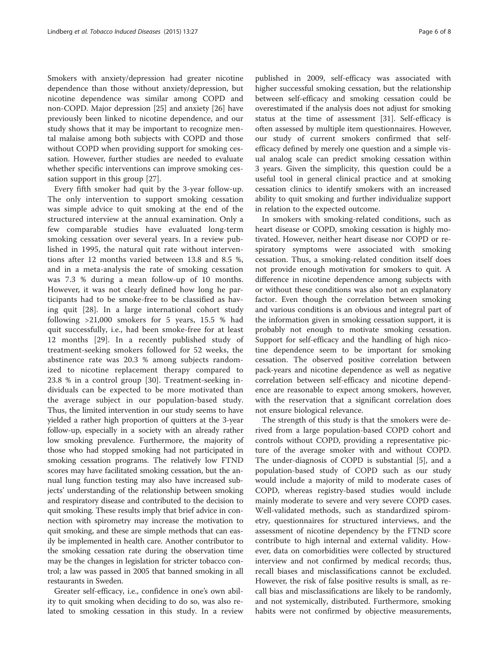Smokers with anxiety/depression had greater nicotine dependence than those without anxiety/depression, but nicotine dependence was similar among COPD and non-COPD. Major depression [\[25](#page-7-0)] and anxiety [[26\]](#page-7-0) have previously been linked to nicotine dependence, and our study shows that it may be important to recognize mental malaise among both subjects with COPD and those without COPD when providing support for smoking cessation. However, further studies are needed to evaluate whether specific interventions can improve smoking cessation support in this group [\[27](#page-7-0)].

Every fifth smoker had quit by the 3-year follow-up. The only intervention to support smoking cessation was simple advice to quit smoking at the end of the structured interview at the annual examination. Only a few comparable studies have evaluated long-term smoking cessation over several years. In a review published in 1995, the natural quit rate without interventions after 12 months varied between 13.8 and 8.5 %, and in a meta-analysis the rate of smoking cessation was 7.3 % during a mean follow-up of 10 months. However, it was not clearly defined how long he participants had to be smoke-free to be classified as having quit [[28\]](#page-7-0). In a large international cohort study following >21,000 smokers for 5 years, 15.5 % had quit successfully, i.e., had been smoke-free for at least 12 months [[29\]](#page-7-0). In a recently published study of treatment-seeking smokers followed for 52 weeks, the abstinence rate was 20.3 % among subjects randomized to nicotine replacement therapy compared to 23.8 % in a control group [\[30](#page-7-0)]. Treatment-seeking individuals can be expected to be more motivated than the average subject in our population-based study. Thus, the limited intervention in our study seems to have yielded a rather high proportion of quitters at the 3-year follow-up, especially in a society with an already rather low smoking prevalence. Furthermore, the majority of those who had stopped smoking had not participated in smoking cessation programs. The relatively low FTND scores may have facilitated smoking cessation, but the annual lung function testing may also have increased subjects' understanding of the relationship between smoking and respiratory disease and contributed to the decision to quit smoking. These results imply that brief advice in connection with spirometry may increase the motivation to quit smoking, and these are simple methods that can easily be implemented in health care. Another contributor to the smoking cessation rate during the observation time may be the changes in legislation for stricter tobacco control; a law was passed in 2005 that banned smoking in all restaurants in Sweden.

Greater self-efficacy, i.e., confidence in one's own ability to quit smoking when deciding to do so, was also related to smoking cessation in this study. In a review

published in 2009, self-efficacy was associated with higher successful smoking cessation, but the relationship between self-efficacy and smoking cessation could be overestimated if the analysis does not adjust for smoking status at the time of assessment [\[31\]](#page-7-0). Self-efficacy is often assessed by multiple item questionnaires. However, our study of current smokers confirmed that selfefficacy defined by merely one question and a simple visual analog scale can predict smoking cessation within 3 years. Given the simplicity, this question could be a useful tool in general clinical practice and at smoking cessation clinics to identify smokers with an increased ability to quit smoking and further individualize support in relation to the expected outcome.

In smokers with smoking-related conditions, such as heart disease or COPD, smoking cessation is highly motivated. However, neither heart disease nor COPD or respiratory symptoms were associated with smoking cessation. Thus, a smoking-related condition itself does not provide enough motivation for smokers to quit. A difference in nicotine dependence among subjects with or without these conditions was also not an explanatory factor. Even though the correlation between smoking and various conditions is an obvious and integral part of the information given in smoking cessation support, it is probably not enough to motivate smoking cessation. Support for self-efficacy and the handling of high nicotine dependence seem to be important for smoking cessation. The observed positive correlation between pack-years and nicotine dependence as well as negative correlation between self-efficacy and nicotine dependence are reasonable to expect among smokers, however, with the reservation that a significant correlation does not ensure biological relevance.

The strength of this study is that the smokers were derived from a large population-based COPD cohort and controls without COPD, providing a representative picture of the average smoker with and without COPD. The under-diagnosis of COPD is substantial [\[5](#page-6-0)], and a population-based study of COPD such as our study would include a majority of mild to moderate cases of COPD, whereas registry-based studies would include mainly moderate to severe and very severe COPD cases. Well-validated methods, such as standardized spirometry, questionnaires for structured interviews, and the assessment of nicotine dependency by the FTND score contribute to high internal and external validity. However, data on comorbidities were collected by structured interview and not confirmed by medical records; thus, recall biases and misclassifications cannot be excluded. However, the risk of false positive results is small, as recall bias and misclassifications are likely to be randomly, and not systemically, distributed. Furthermore, smoking habits were not confirmed by objective measurements,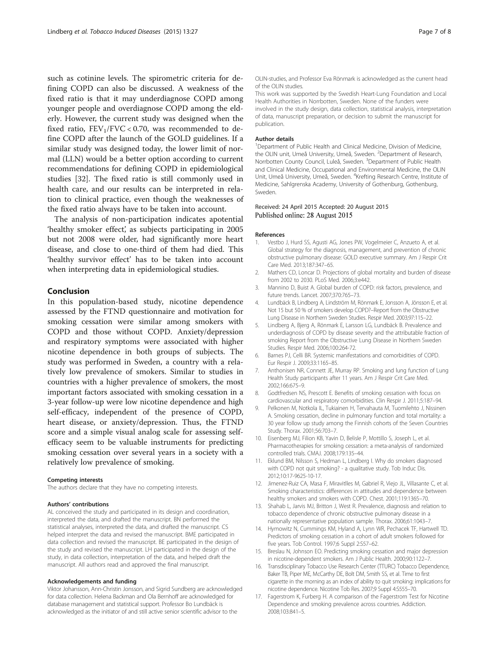<span id="page-6-0"></span>such as cotinine levels. The spirometric criteria for defining COPD can also be discussed. A weakness of the fixed ratio is that it may underdiagnose COPD among younger people and overdiagnose COPD among the elderly. However, the current study was designed when the fixed ratio,  $FEV<sub>1</sub>/FVC < 0.70$ , was recommended to define COPD after the launch of the GOLD guidelines. If a similar study was designed today, the lower limit of normal (LLN) would be a better option according to current recommendations for defining COPD in epidemiological studies [32]. The fixed ratio is still commonly used in health care, and our results can be interpreted in relation to clinical practice, even though the weaknesses of the fixed ratio always have to be taken into account.

The analysis of non-participation indicates apotential 'healthy smoker effect', as subjects participating in 2005 but not 2008 were older, had significantly more heart disease, and close to one-third of them had died. This 'healthy survivor effect' has to be taken into account when interpreting data in epidemiological studies.

#### Conclusion

In this population-based study, nicotine dependence assessed by the FTND questionnaire and motivation for smoking cessation were similar among smokers with COPD and those without COPD. Anxiety/depression and respiratory symptoms were associated with higher nicotine dependence in both groups of subjects. The study was performed in Sweden, a country with a relatively low prevalence of smokers. Similar to studies in countries with a higher prevalence of smokers, the most important factors associated with smoking cessation in a 3-year follow-up were low nicotine dependence and high self-efficacy, independent of the presence of COPD, heart disease, or anxiety/depression. Thus, the FTND score and a simple visual analog scale for assessing selfefficacy seem to be valuable instruments for predicting smoking cessation over several years in a society with a relatively low prevalence of smoking.

#### Competing interests

The authors declare that they have no competing interests.

#### Authors' contributions

AL conceived the study and participated in its design and coordination, interpreted the data, and drafted the manuscript. BN performed the statistical analyses, interpreted the data, and drafted the manuscript. CS helped interpret the data and revised the manuscript. BME participated in data collection and revised the manuscript. BE participated in the design of the study and revised the manuscript. LH participated in the design of the study, in data collection, interpretation of the data, and helped draft the manuscript. All authors read and approved the final manuscript.

#### Acknowledgements and funding

Viktor Johansson, Ann-Christin Jonsson, and Sigrid Sundberg are acknowledged for data collection. Helena Backman and Ola Bernhoff are acknowledged for database management and statistical support. Professor Bo Lundbäck is acknowledged as the initiator of and still active senior scientific advisor to the

OLIN-studies, and Professor Eva Rönmark is acknowledged as the current head of the OLIN studies.

This work was supported by the Swedish Heart-Lung Foundation and Local Health Authorities in Norrbotten, Sweden. None of the funders were involved in the study design, data collection, statistical analysis, interpretation of data, manuscript preparation, or decision to submit the manuscript for publication.

#### Author details

<sup>1</sup>Department of Public Health and Clinical Medicine, Division of Medicine the OLIN unit, Umeå University, Umeå, Sweden. <sup>2</sup>Department of Research, Norrbotten County Council, Luleå, Sweden. <sup>3</sup>Department of Public Health and Clinical Medicine, Occupational and Environmental Medicine, the OLIN Unit, Umeå University, Umeå, Sweden. <sup>4</sup>Krefting Research Centre, Institute of Medicine, Sahlgrenska Academy, University of Gothenburg, Gothenburg, Sweden.

#### Received: 24 April 2015 Accepted: 20 August 2015 Published online: 28 August 2015

#### References

- 1. Vestbo J, Hurd SS, Agusti AG, Jones PW, Vogelmeier C, Anzueto A, et al. Global strategy for the diagnosis, management, and prevention of chronic obstructive pulmonary disease: GOLD executive summary. Am J Respir Crit Care Med. 2013;187:347–65.
- 2. Mathers CD, Loncar D. Projections of global mortality and burden of disease from 2002 to 2030. PLoS Med. 2006;3:e442.
- 3. Mannino D, Buist A. Global burden of COPD: risk factors, prevalence, and future trends. Lancet. 2007;370:765–73.
- 4. Lundbäck B, Lindberg A, Lindström M, Rönmark E, Jonsson A, Jönsson E, et al. Not 15 but 50 % of smokers develop COPD?–Report from the Obstructive Lung Disease in Northern Sweden Studies. Respir Med. 2003;97:115–22.
- 5. Lindberg A, Bjerg A, Rönmark E, Larsson LG, Lundbäck B. Prevalence and underdiagnosis of COPD by disease severity and the attributable fraction of smoking Report from the Obstructive Lung Disease in Northern Sweden Studies. Respir Med. 2006;100:264-72.
- 6. Barnes PJ, Celli BR. Systemic manifestations and comorbidities of COPD. Eur Respir J. 2009;33:1165–85.
- 7. Anthonisen NR, Connett JE, Murray RP. Smoking and lung function of Lung Health Study participants after 11 years. Am J Respir Crit Care Med. 2002;166:675–9.
- 8. Godtfredsen NS, Prescott E. Benefits of smoking cessation with focus on cardiovascular and respiratory comorbidities. Clin Respir J. 2011;5:187–94.
- 9. Pelkonen M, Notkola IL, Tukiainen H, Tervahauta M, Tuomilehto J, Nissinen A. Smoking cessation, decline in pulmonary function and total mortality: a 30 year follow up study among the Finnish cohorts of the Seven Countries Study. Thorax. 2001;56:703–7.
- 10. Eisenberg MJ, Filion KB, Yavin D, Belisle P, Mottillo S, Joseph L, et al. Pharmacotherapies for smoking cessation: a meta-analysis of randomized controlled trials. CMAJ. 2008;179:135–44.
- 11. Eklund BM, Nilsson S, Hedman L, Lindberg I. Why do smokers diagnosed with COPD not quit smoking? - a qualitative study. Tob Induc Dis. 2012;10:17-9625-10-17.
- 12. Jimenez-Ruiz CA, Masa F, Miravitlles M, Gabriel R, Viejo JL, Villasante C, et al. Smoking characteristics: differences in attitudes and dependence between healthy smokers and smokers with COPD. Chest. 2001;119:1365–70.
- 13. Shahab L, Jarvis MJ, Britton J, West R. Prevalence, diagnosis and relation to tobacco dependence of chronic obstructive pulmonary disease in a nationally representative population sample. Thorax. 2006;61:1043–7.
- 14. Hymowitz N, Cummings KM, Hyland A, Lynn WR, Pechacek TF, Hartwell TD. Predictors of smoking cessation in a cohort of adult smokers followed for five years. Tob Control. 1997;6 Suppl 2:S57–62.
- 15. Breslau N, Johnson EO. Predicting smoking cessation and major depression in nicotine-dependent smokers. Am J Public Health. 2000;90:1122–7.
- 16. Transdisciplinary Tobacco Use Research Center (TTURC) Tobacco Dependence, Baker TB, Piper ME, McCarthy DE, Bolt DM, Smith SS, et al. Time to first cigarette in the morning as an index of ability to quit smoking: implications for nicotine dependence. Nicotine Tob Res. 2007;9 Suppl 4:S555–70.
- 17. Fagerstrom K, Furberg H. A comparison of the Fagerstrom Test for Nicotine Dependence and smoking prevalence across countries. Addiction. 2008;103:841–5.